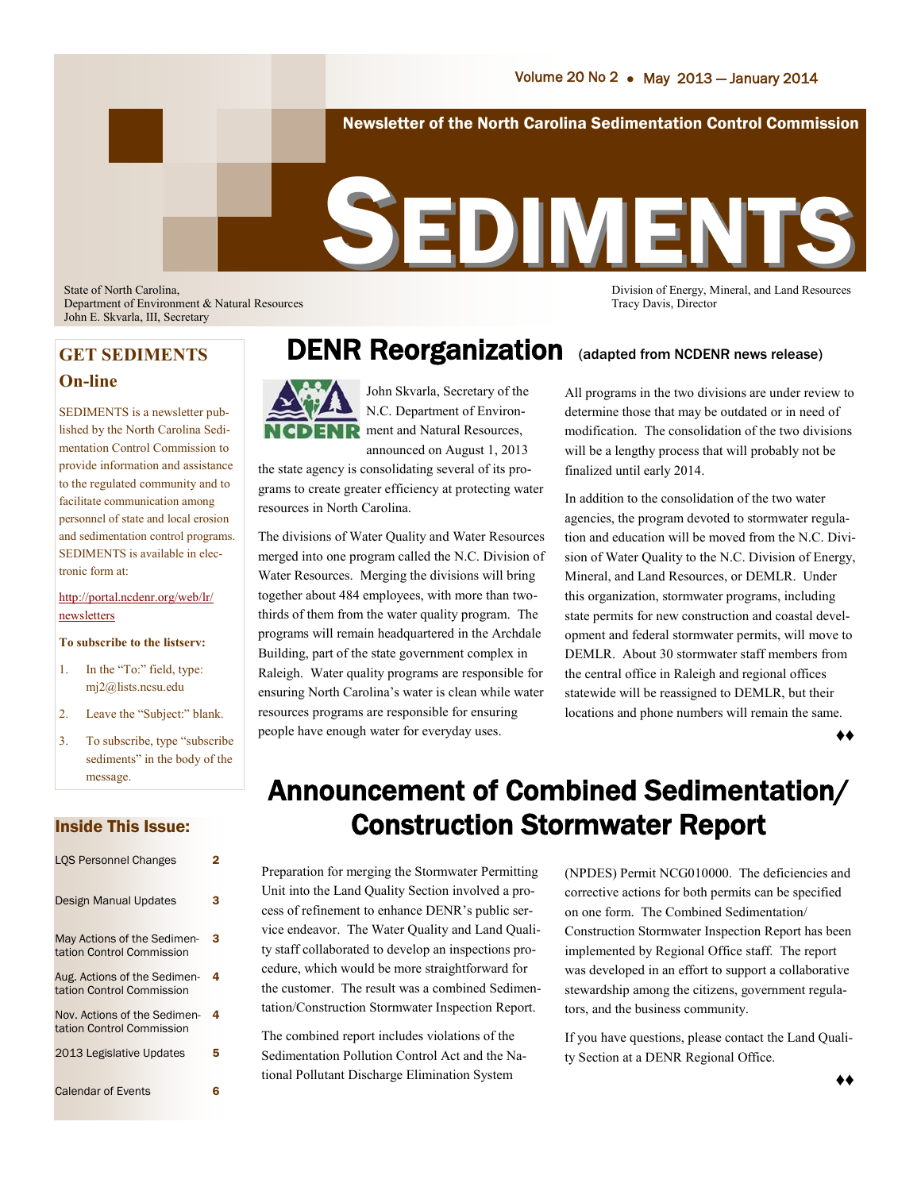Newsletter of the North Carolina Sedimentation Control Commission

# SEDIMENT

State of North Carolina, Division of Energy, Mineral, and Land Resources Department of Environment & Natural Resources Tracy Davis, Director John E. Skvarla, III, Secretary

## **On-line**

SEDIMENTS is a newsletter published by the North Carolina Sedimentation Control Commission to provide information and assistance to the regulated community and to facilitate communication among personnel of state and local erosion and sedimentation control programs. SEDIMENTS is available in electronic form at:

#### [http://portal.ncdenr.org/web/lr/](http://portal.ncdenr.org/web/lr/newsletters) [newsletters](http://portal.ncdenr.org/web/lr/newsletters)

#### **To subscribe to the listserv:**

- 1. In the "To:" field, type: mj2@lists.ncsu.edu
- 2. Leave the "Subject:" blank.
- 3. To subscribe, type "subscribe sediments" in the body of the message.

## Inside This Issue:

| <b>LOS Personnel Changes</b>                              | 2 |
|-----------------------------------------------------------|---|
| <b>Design Manual Updates</b>                              | 3 |
| May Actions of the Sedimen-<br>tation Control Commission  | 3 |
| Aug. Actions of the Sedimen-<br>tation Control Commission | 4 |
| Nov. Actions of the Sedimen-<br>tation Control Commission | 4 |
| 2013 Legislative Updates                                  | 5 |
| <b>Calendar of Events</b>                                 | 6 |

## **GET SEDIMENTS DENR Reorganization** (adapted from NCDENR news release)



John Skvarla, Secretary of the N.C. Department of Environment and Natural Resources, announced on August 1, 2013

the state agency is consolidating several of its programs to create greater efficiency at protecting water resources in North Carolina.

The divisions of Water Quality and Water Resources merged into one program called the N.C. Division of Water Resources. Merging the divisions will bring together about 484 employees, with more than twothirds of them from the water quality program. The programs will remain headquartered in the Archdale Building, part of the state government complex in Raleigh. Water quality programs are responsible for ensuring North Carolina's water is clean while water resources programs are responsible for ensuring people have enough water for everyday uses.

All programs in the two divisions are under review to determine those that may be outdated or in need of modification. The consolidation of the two divisions will be a lengthy process that will probably not be finalized until early 2014.

In addition to the consolidation of the two water agencies, the program devoted to stormwater regulation and education will be moved from the N.C. Division of Water Quality to the N.C. Division of Energy, Mineral, and Land Resources, or DEMLR. Under this organization, stormwater programs, including state permits for new construction and coastal development and federal stormwater permits, will move to DEMLR. About 30 stormwater staff members from the central office in Raleigh and regional offices statewide will be reassigned to DEMLR, but their locations and phone numbers will remain the same.

♦♦

## Announcement of Combined Sedimentation/ Construction Stormwater Report

Preparation for merging the Stormwater Permitting Unit into the Land Quality Section involved a process of refinement to enhance DENR's public service endeavor. The Water Quality and Land Quality staff collaborated to develop an inspections procedure, which would be more straightforward for the customer. The result was a combined Sedimentation/Construction Stormwater Inspection Report.

The combined report includes violations of the Sedimentation Pollution Control Act and the National Pollutant Discharge Elimination System

(NPDES) Permit NCG010000. The deficiencies and corrective actions for both permits can be specified on one form. The Combined Sedimentation/ Construction Stormwater Inspection Report has been implemented by Regional Office staff. The report was developed in an effort to support a collaborative stewardship among the citizens, government regulators, and the business community.

If you have questions, please contact the Land Quality Section at a DENR Regional Office.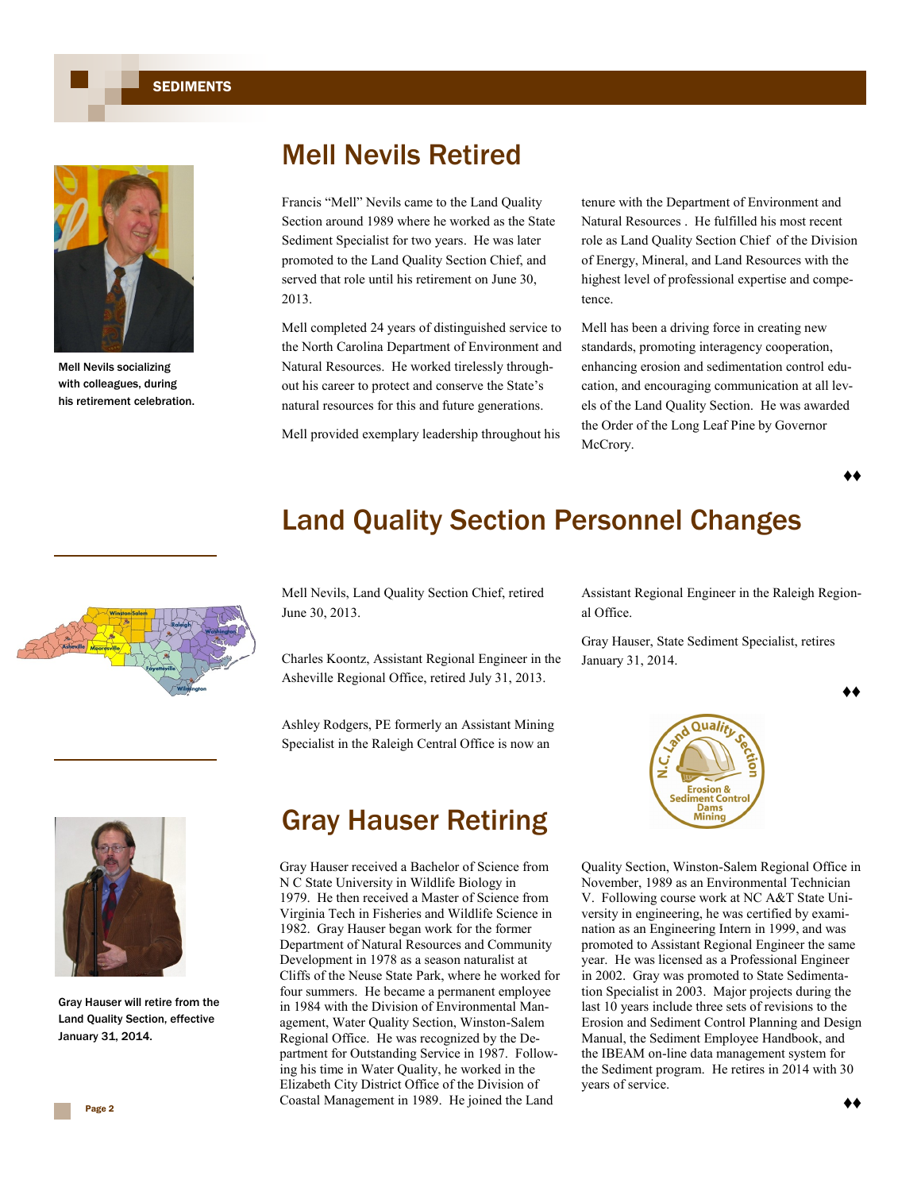**SEDIMENTS** 



Mell Nevils socializing with colleagues, during his retirement celebration.

## Mell Nevils Retired

Francis "Mell" Nevils came to the Land Quality Section around 1989 where he worked as the State Sediment Specialist for two years. He was later promoted to the Land Quality Section Chief, and served that role until his retirement on June 30, 2013.

Mell completed 24 years of distinguished service to the North Carolina Department of Environment and Natural Resources. He worked tirelessly throughout his career to protect and conserve the State's natural resources for this and future generations.

Mell provided exemplary leadership throughout his

tenure with the Department of Environment and Natural Resources . He fulfilled his most recent role as Land Quality Section Chief of the Division of Energy, Mineral, and Land Resources with the highest level of professional expertise and competence.

Mell has been a driving force in creating new standards, promoting interagency cooperation, enhancing erosion and sedimentation control education, and encouraging communication at all levels of the Land Quality Section. He was awarded the Order of the Long Leaf Pine by Governor McCrory.

♦♦



## Land Quality Section Personnel Changes

Mell Nevils, Land Quality Section Chief, retired June 30, 2013.

Charles Koontz, Assistant Regional Engineer in the Asheville Regional Office, retired July 31, 2013.

Ashley Rodgers, PE formerly an Assistant Mining Specialist in the Raleigh Central Office is now an

Assistant Regional Engineer in the Raleigh Regional Office.

Gray Hauser, State Sediment Specialist, retires January 31, 2014.

♦♦



Quality Section, Winston-Salem Regional Office in November, 1989 as an Environmental Technician V. Following course work at NC A&T State University in engineering, he was certified by examination as an Engineering Intern in 1999, and was promoted to Assistant Regional Engineer the same year. He was licensed as a Professional Engineer in 2002. Gray was promoted to State Sedimentation Specialist in 2003. Major projects during the last 10 years include three sets of revisions to the Erosion and Sediment Control Planning and Design Manual, the Sediment Employee Handbook, and the IBEAM on-line data management system for the Sediment program. He retires in 2014 with 30 years of service.



Gray Hauser will retire from the Land Quality Section, effective January 31, 2014.

## Gray Hauser Retiring

Gray Hauser received a Bachelor of Science from N C State University in Wildlife Biology in 1979. He then received a Master of Science from Virginia Tech in Fisheries and Wildlife Science in 1982. Gray Hauser began work for the former Department of Natural Resources and Community Development in 1978 as a season naturalist at Cliffs of the Neuse State Park, where he worked for four summers. He became a permanent employee in 1984 with the Division of Environmental Management, Water Quality Section, Winston-Salem Regional Office. He was recognized by the Department for Outstanding Service in 1987. Following his time in Water Quality, he worked in the Elizabeth City District Office of the Division of Coastal Management in 1989. He joined the Land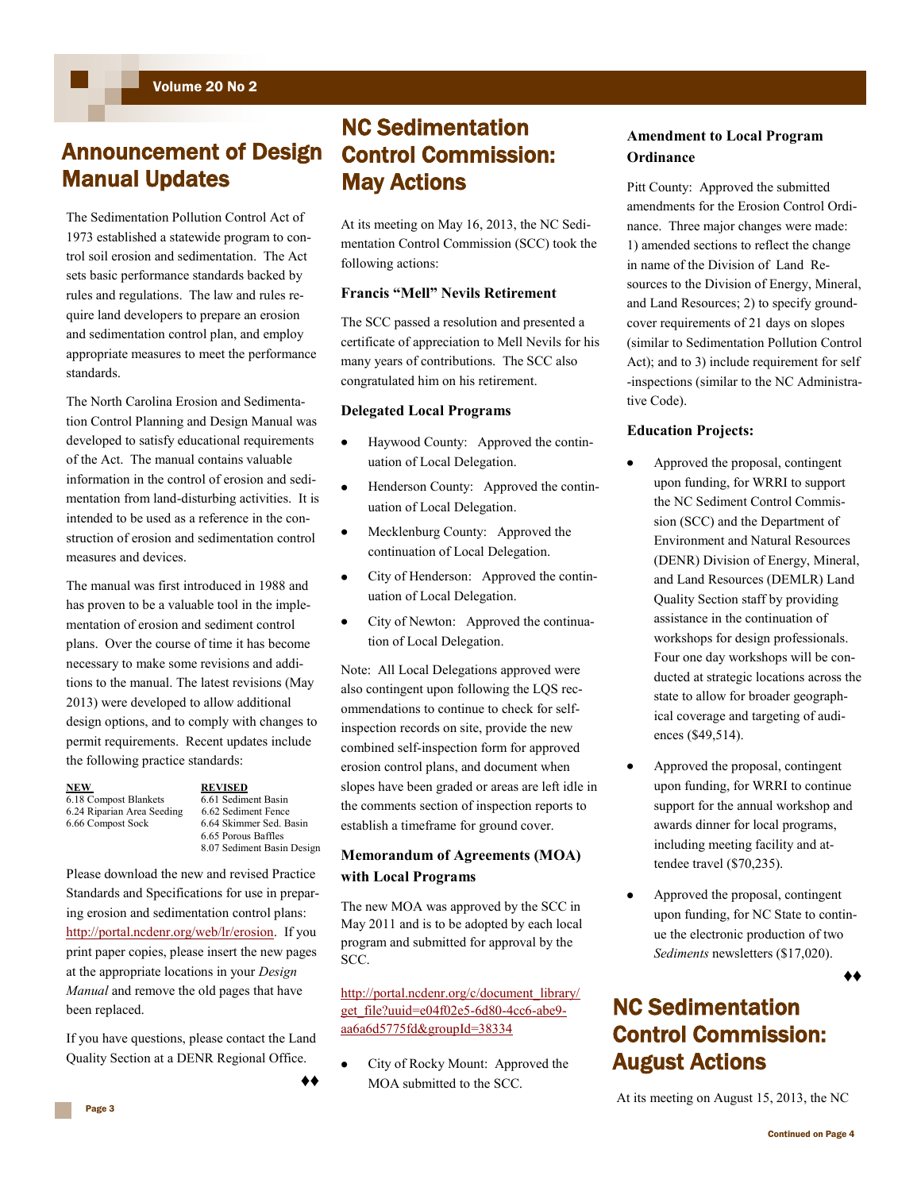## Announcement of Design Manual Updates

The Sedimentation Pollution Control Act of 1973 established a statewide program to control soil erosion and sedimentation. The Act sets basic performance standards backed by rules and regulations. The law and rules require land developers to prepare an erosion and sedimentation control plan, and employ appropriate measures to meet the performance standards.

The North Carolina Erosion and Sedimentation Control Planning and Design Manual was developed to satisfy educational requirements of the Act. The manual contains valuable information in the control of erosion and sedimentation from land-disturbing activities. It is intended to be used as a reference in the construction of erosion and sedimentation control measures and devices.

The manual was first introduced in 1988 and has proven to be a valuable tool in the implementation of erosion and sediment control plans. Over the course of time it has become necessary to make some revisions and additions to the manual. The latest revisions (May 2013) were developed to allow additional design options, and to comply with changes to permit requirements. Recent updates include the following practice standards:

| <b>NEW</b>                 | <b>REVISED</b> |
|----------------------------|----------------|
| 6.18 Compost Blankets      | 6.61 Sedim     |
| 6.24 Riparian Area Seeding | 6.62 Sedin     |
| 6.66 Compost Sock          | 6.64 Skimr     |
|                            | $6.65$ Porou   |

ediment Basin ediment Fence kimmer Sed. Basin 6.65 Porous Baffles 8.07 Sediment Basin Design

Please download the new and revised Practice Standards and Specifications for use in preparing erosion and sedimentation control plans: [http://portal.ncdenr.org/web/lr/erosion.](http://portal.ncdenr.org/web/lr/erosion) If you print paper copies, please insert the new pages at the appropriate locations in your *Design Manual* and remove the old pages that have been replaced.

If you have questions, please contact the Land Quality Section at a DENR Regional Office.

♦♦

## NC Sedimentation Control Commission: May Actions

At its meeting on May 16, 2013, the NC Sedimentation Control Commission (SCC) took the following actions:

## **Francis "Mell" Nevils Retirement**

The SCC passed a resolution and presented a certificate of appreciation to Mell Nevils for his many years of contributions. The SCC also congratulated him on his retirement.

## **Delegated Local Programs**

- Haywood County: Approved the continuation of Local Delegation.
- Henderson County: Approved the continuation of Local Delegation.
- Mecklenburg County: Approved the continuation of Local Delegation.
- City of Henderson: Approved the continuation of Local Delegation.
- City of Newton: Approved the continuation of Local Delegation.

Note: All Local Delegations approved were also contingent upon following the LQS recommendations to continue to check for selfinspection records on site, provide the new combined self-inspection form for approved erosion control plans, and document when slopes have been graded or areas are left idle in the comments section of inspection reports to establish a timeframe for ground cover.

## **Memorandum of Agreements (MOA) with Local Programs**

The new MOA was approved by the SCC in May 2011 and is to be adopted by each local program and submitted for approval by the SCC.

[http://portal.ncdenr.org/c/document\\_library/](http://portal.ncdenr.org/c/document_library/get_file?uuid=e04f02e5-6d80-4cc6-abe9-aa6a6d5775fd&groupId=38334) [get\\_file?uuid=e04f02e5-6d80-4cc6-abe9](http://portal.ncdenr.org/c/document_library/get_file?uuid=e04f02e5-6d80-4cc6-abe9-aa6a6d5775fd&groupId=38334) [aa6a6d5775fd&groupId=38334](http://portal.ncdenr.org/c/document_library/get_file?uuid=e04f02e5-6d80-4cc6-abe9-aa6a6d5775fd&groupId=38334)

City of Rocky Mount: Approved the MOA submitted to the SCC.

## **Amendment to Local Program Ordinance**

Pitt County: Approved the submitted amendments for the Erosion Control Ordinance. Three major changes were made: 1) amended sections to reflect the change in name of the Division of Land Resources to the Division of Energy, Mineral, and Land Resources; 2) to specify groundcover requirements of 21 days on slopes (similar to Sedimentation Pollution Control Act); and to 3) include requirement for self -inspections (similar to the NC Administrative Code).

## **Education Projects:**

- Approved the proposal, contingent upon funding, for WRRI to support the NC Sediment Control Commission (SCC) and the Department of Environment and Natural Resources (DENR) Division of Energy, Mineral, and Land Resources (DEMLR) Land Quality Section staff by providing assistance in the continuation of workshops for design professionals. Four one day workshops will be conducted at strategic locations across the state to allow for broader geographical coverage and targeting of audiences (\$49,514).
- Approved the proposal, contingent upon funding, for WRRI to continue support for the annual workshop and awards dinner for local programs, including meeting facility and attendee travel (\$70,235).
- Approved the proposal, contingent upon funding, for NC State to continue the electronic production of two *Sediments* newsletters (\$17,020).

## NC Sedimentation Control Commission: August Actions

At its meeting on August 15, 2013, the NC

♦♦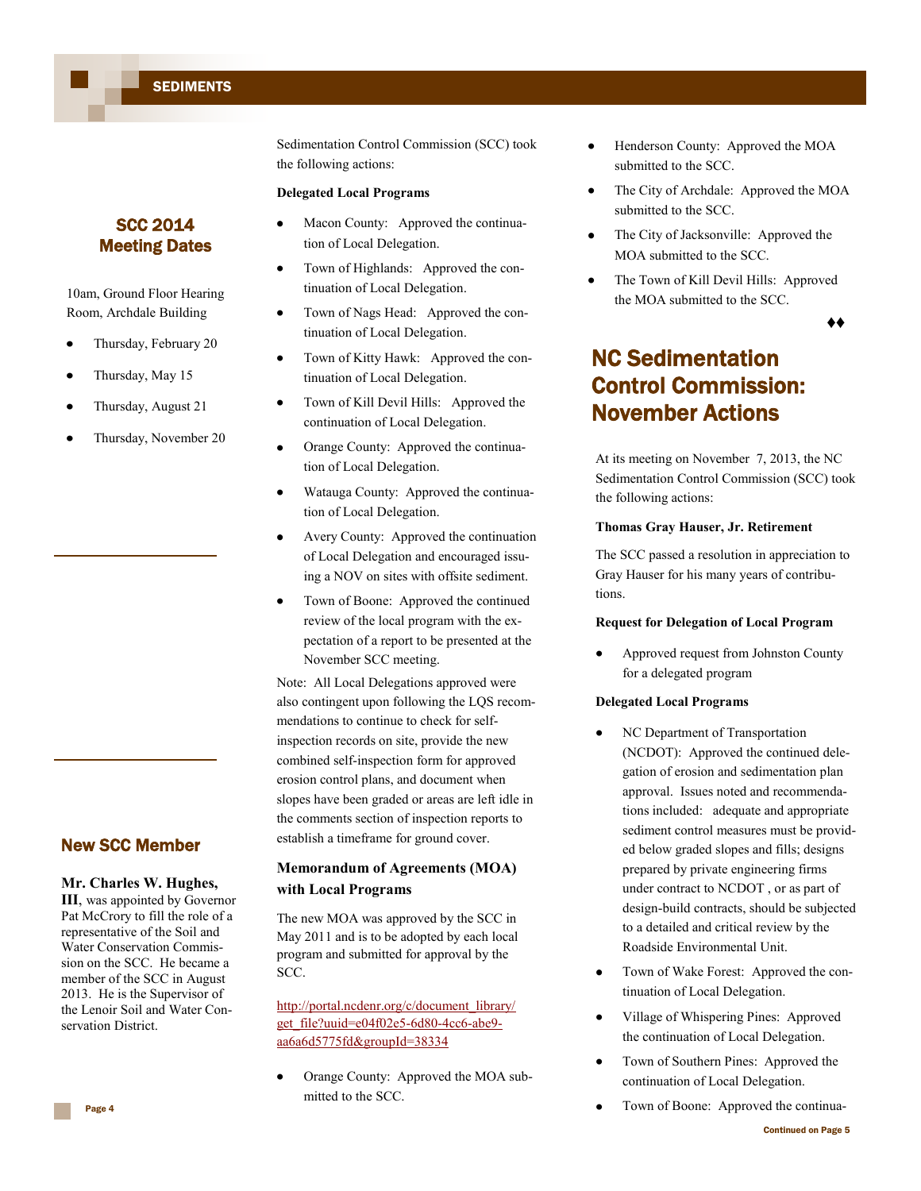Sedimentation Control Commission (SCC) took the following actions:

#### **Delegated Local Programs**

- Macon County: Approved the continuation of Local Delegation.
- Town of Highlands: Approved the continuation of Local Delegation.
- Town of Nags Head: Approved the continuation of Local Delegation.
- Town of Kitty Hawk: Approved the con- $\bullet$ tinuation of Local Delegation.
- Town of Kill Devil Hills: Approved the continuation of Local Delegation.
- Orange County: Approved the continuation of Local Delegation.
- Watauga County: Approved the continuation of Local Delegation.
- Avery County: Approved the continuation of Local Delegation and encouraged issuing a NOV on sites with offsite sediment.
- Town of Boone: Approved the continued review of the local program with the expectation of a report to be presented at the November SCC meeting.

Note: All Local Delegations approved were also contingent upon following the LQS recommendations to continue to check for selfinspection records on site, provide the new combined self-inspection form for approved erosion control plans, and document when slopes have been graded or areas are left idle in the comments section of inspection reports to establish a timeframe for ground cover.

## **Memorandum of Agreements (MOA) with Local Programs**

The new MOA was approved by the SCC in May 2011 and is to be adopted by each local program and submitted for approval by the SCC.

[http://portal.ncdenr.org/c/document\\_library/](http://portal.ncdenr.org/c/document_library/get_file?uuid=e04f02e5-6d80-4cc6-abe9-aa6a6d5775fd&groupId=38334) [get\\_file?uuid=e04f02e5-6d80-4cc6-abe9](http://portal.ncdenr.org/c/document_library/get_file?uuid=e04f02e5-6d80-4cc6-abe9-aa6a6d5775fd&groupId=38334) [aa6a6d5775fd&groupId=38334](http://portal.ncdenr.org/c/document_library/get_file?uuid=e04f02e5-6d80-4cc6-abe9-aa6a6d5775fd&groupId=38334)

Orange County: Approved the MOA submitted to the SCC.

- $\bullet$ Henderson County: Approved the MOA submitted to the SCC.
- The City of Archdale: Approved the MOA submitted to the SCC.
- The City of Jacksonville: Approved the MOA submitted to the SCC.
- The Town of Kill Devil Hills: Approved the MOA submitted to the SCC.

♦♦

## NC Sedimentation Control Commission: November Actions

At its meeting on November 7, 2013, the NC Sedimentation Control Commission (SCC) took the following actions:

#### **Thomas Gray Hauser, Jr. Retirement**

The SCC passed a resolution in appreciation to Gray Hauser for his many years of contributions.

#### **Request for Delegation of Local Program**

Approved request from Johnston County for a delegated program

#### **Delegated Local Programs**

- NC Department of Transportation (NCDOT): Approved the continued delegation of erosion and sedimentation plan approval. Issues noted and recommendations included: adequate and appropriate sediment control measures must be provided below graded slopes and fills; designs prepared by private engineering firms under contract to NCDOT , or as part of design-build contracts, should be subjected to a detailed and critical review by the Roadside Environmental Unit.
- Town of Wake Forest: Approved the continuation of Local Delegation.
- Village of Whispering Pines: Approved the continuation of Local Delegation.
- Town of Southern Pines: Approved the continuation of Local Delegation.
- $\bullet$ Town of Boone: Approved the continua-

## SCC 2014 Meeting Dates

10am, Ground Floor Hearing Room, Archdale Building

- $\bullet$ Thursday, February 20
- Thursday, May 15  $\bullet$
- Thursday, August 21  $\bullet$
- $\bullet$ Thursday, November 20

## New SCC Member

#### **Mr. Charles W. Hughes,**

**III**, was appointed by Governor Pat McCrory to fill the role of a representative of the Soil and Water Conservation Commission on the SCC. He became a member of the SCC in August 2013. He is the Supervisor of the Lenoir Soil and Water Conservation District.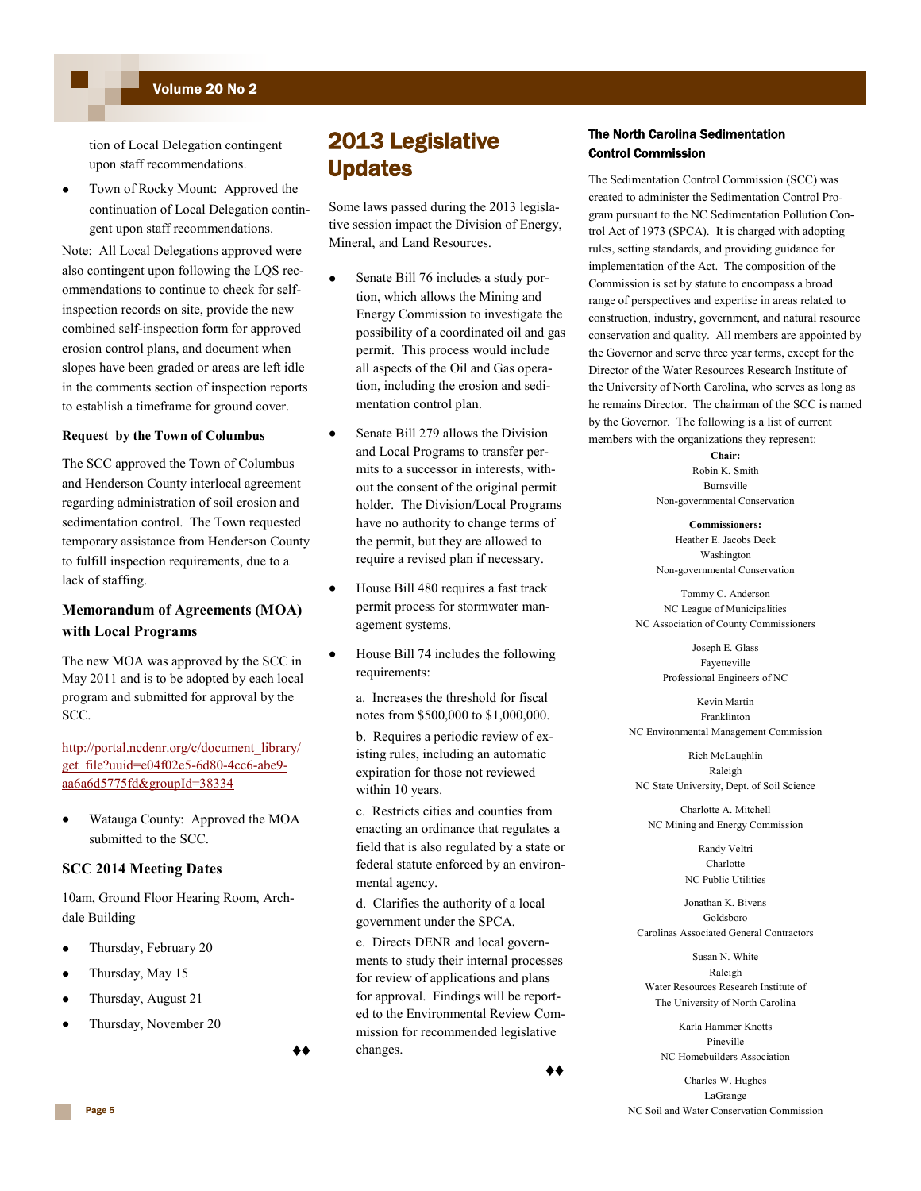## Volume 20 No 2

tion of Local Delegation contingent upon staff recommendations.

Town of Rocky Mount: Approved the continuation of Local Delegation contingent upon staff recommendations.

Note: All Local Delegations approved were also contingent upon following the LQS recommendations to continue to check for selfinspection records on site, provide the new combined self-inspection form for approved erosion control plans, and document when slopes have been graded or areas are left idle in the comments section of inspection reports to establish a timeframe for ground cover.

#### **Request by the Town of Columbus**

The SCC approved the Town of Columbus and Henderson County interlocal agreement regarding administration of soil erosion and sedimentation control. The Town requested temporary assistance from Henderson County to fulfill inspection requirements, due to a lack of staffing.

## **Memorandum of Agreements (MOA) with Local Programs**

The new MOA was approved by the SCC in May 2011 and is to be adopted by each local program and submitted for approval by the SCC.

## [http://portal.ncdenr.org/c/document\\_library/](http://portal.ncdenr.org/c/document_library/get_file?uuid=e04f02e5-6d80-4cc6-abe9-aa6a6d5775fd&groupId=38334) [get\\_file?uuid=e04f02e5-6d80-4cc6-abe9](http://portal.ncdenr.org/c/document_library/get_file?uuid=e04f02e5-6d80-4cc6-abe9-aa6a6d5775fd&groupId=38334) [aa6a6d5775fd&groupId=38334](http://portal.ncdenr.org/c/document_library/get_file?uuid=e04f02e5-6d80-4cc6-abe9-aa6a6d5775fd&groupId=38334)

Watauga County: Approved the MOA submitted to the SCC.

#### **SCC 2014 Meeting Dates**

10am, Ground Floor Hearing Room, Archdale Building

- Thursday, February 20
- Thursday, May 15
- Thursday, August 21
- Thursday, November 20

♦♦

## 2013 Legislative Updates

Some laws passed during the 2013 legislative session impact the Division of Energy, Mineral, and Land Resources.

- Senate Bill 76 includes a study portion, which allows the Mining and Energy Commission to investigate the possibility of a coordinated oil and gas permit. This process would include all aspects of the Oil and Gas operation, including the erosion and sedimentation control plan.
- Senate Bill 279 allows the Division and Local Programs to transfer permits to a successor in interests, without the consent of the original permit holder. The Division/Local Programs have no authority to change terms of the permit, but they are allowed to require a revised plan if necessary.
- House Bill 480 requires a fast track permit process for stormwater management systems.
- House Bill 74 includes the following requirements:

a. Increases the threshold for fiscal notes from \$500,000 to \$1,000,000.

b. Requires a periodic review of existing rules, including an automatic expiration for those not reviewed within 10 years.

c. Restricts cities and counties from enacting an ordinance that regulates a field that is also regulated by a state or federal statute enforced by an environmental agency.

d. Clarifies the authority of a local government under the SPCA.

e. Directs DENR and local governments to study their internal processes for review of applications and plans for approval. Findings will be reported to the Environmental Review Commission for recommended legislative changes.

#### ♦♦

## The North Carolina Sedimentation Control Commission

The Sedimentation Control Commission (SCC) was created to administer the Sedimentation Control Program pursuant to the NC Sedimentation Pollution Control Act of 1973 (SPCA). It is charged with adopting rules, setting standards, and providing guidance for implementation of the Act. The composition of the Commission is set by statute to encompass a broad range of perspectives and expertise in areas related to construction, industry, government, and natural resource conservation and quality. All members are appointed by the Governor and serve three year terms, except for the Director of the Water Resources Research Institute of the University of North Carolina, who serves as long as he remains Director. The chairman of the SCC is named by the Governor. The following is a list of current members with the organizations they represent:

> **Chair:** Robin K. Smith Burnsville Non-governmental Conservation

> **Commissioners:** Heather E. Jacobs Deck Washington Non-governmental Conservation

Tommy C. Anderson NC League of Municipalities NC Association of County Commissioners

> Joseph E. Glass Fayetteville Professional Engineers of NC

Kevin Martin Franklinton NC Environmental Management Commission

Rich McLaughlin Raleigh NC State University, Dept. of Soil Science

Charlotte A. Mitchell NC Mining and Energy Commission

> Randy Veltri Charlotte NC Public Utilities

Jonathan K. Bivens Goldsboro Carolinas Associated General Contractors

Susan N. White Raleigh Water Resources Research Institute of The University of North Carolina

Karla Hammer Knotts Pineville NC Homebuilders Association

Charles W. Hughes LaGrange NC Soil and Water Conservation Commission